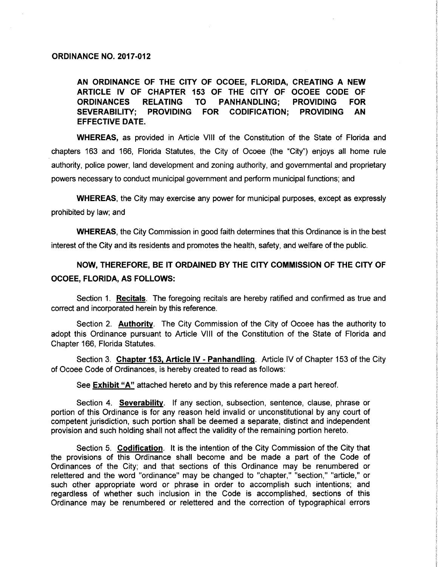#### ORDINANCE NO. 2017-012

AN ORDINANCE OF THE CITY OF OCOEE, FLORIDA, CREATING A NEW ARTICLE IV OF CHAPTER 153 OF THE CITY OF OCOEE CODE OF ORDINANCES RELATING TO PANHANDLING; PROVIDING FOR SEVERABILITY; PROVIDING FOR CODIFICATION; PROVIDING AN EFFECTIVE DATE.

WHEREAS, as provided in Article VIII of the Constitution of the State of Florida and chapters 163 and 166, Florida Statutes, the City of Ocoee (the "City") enjoys all home rule authority, police power, land development and zoning authority, and governmental and proprietary powers necessary to conduct municipal government and perform municipal functions; and

WHEREAS, the City may exercise any power for municipal purposes, except as expressly prohibited by law; and

WHEREAS, the City Commission in good faith determines that this Ordinance is in the best interest of the City and its residents and promotes the health, safety, and welfare of the public.

NOW, THEREFORE, BE IT ORDAINED BY THE CITY COMMISSION OF THE CITY OF OCOEE, FLORIDA, AS FOLLOWS:

Section 1. Recitals. The foregoing recitals are hereby ratified and confirmed as true and correct and incorporated herein by this reference.

Section 2. Authority. The City Commission of the City of Ocoee has the authority to adopt this Ordinance pursuant to Article VIII of the Constitution of the State of Florida and Chapter 166, Florida Statutes.

Section 3. Chapter 153, Article IV - Panhandling. Article IV of Chapter <sup>153</sup> of the City of Ocoee Code of Ordinances, is hereby created to read as follows:

See **Exhibit "A"** attached hereto and by this reference made a part hereof.

Section 4. Severability. If any section, subsection, sentence, clause, phrase or portion of this Ordinance is for any reason held invalid or unconstitutional by any court of competent jurisdiction, such portion shall be deemed a separate, distinct and independent provision and such holding shall not affect the validity of the remaining portion hereto.

Section 5. Codification. It is the intention of the City Commission of the City that the provisions of this Ordinance shall become and be made a part of the Code of Ordinances of the City; and that sections of this Ordinance may be renumbered or relettered and the word "ordinance" may be changed to "chapter," "section," "article," or such other appropriate word or phrase in order to accomplish such intentions; and regardless of whether such inclusion in the Code is accomplished, sections of this Ordinance may be renumbered or relettered and the correction of typographical errors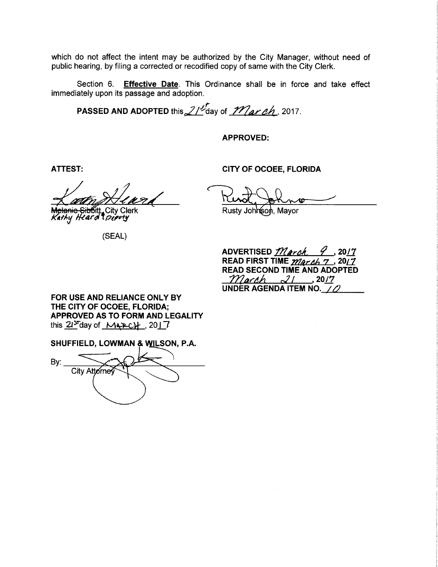which do not affect the intent may be authorized by the City Manager, without need of public hearing, by filing a corrected or recodified copy of same with the City Clerk.

Section 6. Effective Date. This Ordinance shall be in force and take effect immediately upon its passage and adoption.

**PASSED AND ADOPTED this 2/ av of March**, 2017.

APPROVED:

ATTEST: CITY OF OCOEE, FLORIDA

atte Heard Rund, Johns

tian and the Sibility City Clerk Rusty Johnson, Mayor Rusty Johnson, Mayor Rusty Johnson, Mayor

SEAL)

ADVERTISED *March* 9, 2017 READ FIRST TIME *March* 7, 2017 READ SECOND TIME AND ADOPTED  $March$   $21$ , 2017 UNDER AGENDA ITEM NO.  $\angle$ 

FOR USE AND RELIANCE ONLY BY THE CITY OF OCOEE, FLORIDA; APPROVED AS TO FORM AND LEGALITY this  $21^{37}$ day of  $MAP-CH$ , 2017

SHUFFIELD, LOWMAN & WILSON, P.A.

By: City Attorne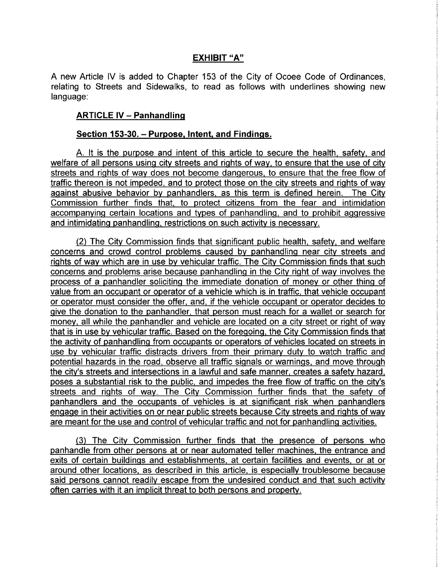### EXHIBIT "A"

A new Article IV is added to Chapter 153 of the City of Ocoee Code of Ordinances, relating to Streets and Sidewalks, to read as follows with underlines showing new language:

#### ARTICLE IV — Panhandling

#### Section 153-30. – Purpose, Intent, and Findings.

A. It is the purpose and intent of this article to secure the health, safety, and welfare of all persons using city streets and rights of way, to ensure that the use of city streets and rights of way does not become dangerous, to ensure that the free flow of traffic thereon is not impeded, and to protect those on the city streets and rights of way against abusive behavior by panhandlers, as this term is defined herein. The City Commission further finds that, to protect citizens from the fear and intimidation accompanying certain locations and types of panhandling, and to prohibit aggressive and intimidating panhandling, restrictions on such activity is necessary.

2) The City Commission finds that significant public health, safety, and welfare concerns and crowd control problems caused by panhandling near city streets and rights of way which are in use by vehicular traffic. The City Commission finds that such concerns and problems arise because panhandling in the City right of way involves the process of a panhandler soliciting the immediate donation of money or other thing of value from an occupant or operator of a vehicle which is in traffic, that vehicle occupant or operator must consider the offer, and, if the vehicle occupant or operator decides to give the donation to the panhandler, that person must reach for a wallet or search for money, all while the panhandler and vehicle are located on a city street or right of way that is in use by vehicular traffic. Based on the foregoing, the City Commission finds that the activity of panhandling from occupants or operators of vehicles located on streets in use by vehicular traffic distracts drivers from their primary duty to watch traffic and potential hazards in the road, observe all traffic signals or warnings, and move through the city's streets and intersections in a lawful and safe manner, creates a safety hazard, poses a substantial risk to the public, and impedes the free flow of traffic on the city's streets and rights of way. The City Commission further finds that the safety of panhandlers and the occupants of vehicles is at significant risk when panhandlers engage in their activities on or near public streets because City streets and rights of way are meant for the use and control of vehicular traffic and not for panhandling activities.

3) The City Commission further finds that the presence of persons who panhandle from other persons at or near automated teller machines, the entrance and exits of certain buildings and establishments, at certain facilities and events, or at or around other locations, as described in this article, is especially troublesome because said persons cannot readily escape from the undesired conduct and that such activity often carries with it an implicit threat to both persons and property.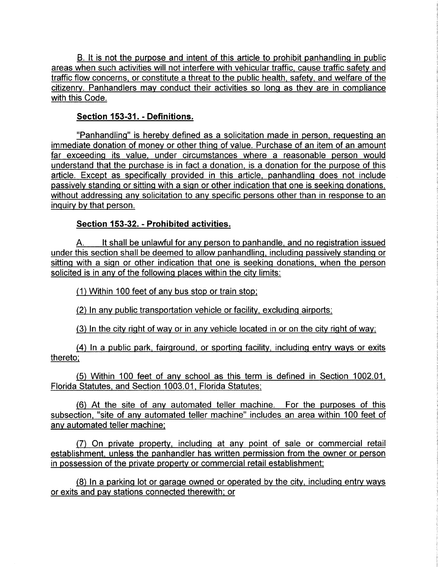B. It is not the purpose and intent of this article to prohibit panhandling in public areas when such activities will not interfere with vehicular traffic, cause traffic safety and traffic flow concerns, or constitute a threat to the public health, safety, and welfare of the citizenry. Panhandlers may conduct their activities so long as they are in compliance with this Code.

### Section 153-31. - Definitions.

Panhandling" is hereby defined as a solicitation made in person, requesting an immediate donation of money or other thing of value. Purchase of an item of an amount far exceeding its value, under circumstances where <sup>a</sup> reasonable person would understand that the purchase is in fact a donation, is a donation for the purpose of this article. Except as specifically provided in this article, panhandling does not include passively standing or sitting with a sign or other indication that one is seeking donations, without addressing any solicitation to any specific persons other than in response to an inquiry by that person.

# Section 153-32. - Prohibited activities.

A. It shall be unlawful for any person to panhandle, and no registration issued under this section shall be deemed to allow panhandling, including passively standing or sitting with a sign or other indication that one is seeking donations, when the person solicited is in any of the following places within the city limits:

1) Within 100 feet of any bus stop or train stop,

2) In any public transportation vehicle or facility, excluding airports;

3) In the city right of way or in any vehicle located in or on the city right of way;

4) In a public park, fairground, or sporting facility, including entry ways or exits thereto;

5) Within 100 feet of any school as this term is defined in Section 1002. 01, Florida Statutes, and Section 1003. 01, Florida Statutes;

6) At the site of any automated teller machine. For the purposes of this subsection, "site of any automated teller machine" includes an area within 100 feet of any automated teller machine;

7) On private property, including at any point of sale or commercial retail establishment, unless the panhandler has written permission from the owner or person in possession of the private property or commercial retail establishment;

8) In a parking lot or garage owned or operated by the city, including entry ways or exits and pay stations connected therewith; or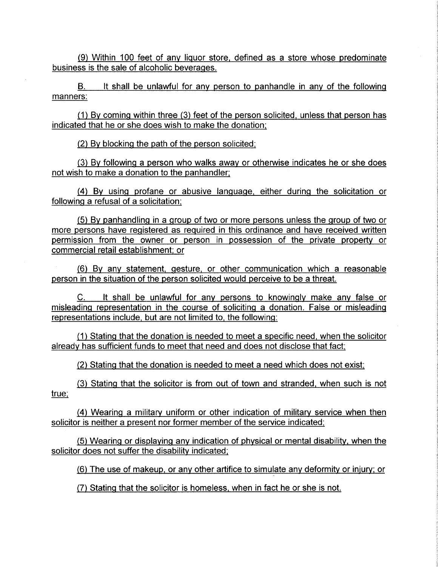9) Within 100 feet of any liquor store, defined as a store whose predominate business is the sale of alcoholic beverages.

B. It shall be unlawful for any person to panhandle in any of the following manners:

 $(1)$  By coming within three  $(3)$  feet of the person solicited, unless that person has indicated that he or she does wish to make the donation;

2) By blocking the path of the person solicited;

3) By following a person who walks away or otherwise indicates he or she does not wish to make a donation to the panhandler;

4) By using profane or abusive language, either during the solicitation or following a refusal of a solicitation;

5) By panhandling in a group of two or more persons unless the group of two or more persons have registered as required in this ordinance and have received written permission from the owner or person in possession of the private property or commercial retail establishment; or

6) By any statement, gesture, or other communication which <sup>a</sup> reasonable person in the situation of the person solicited would perceive to be a threat.

C. It shall be unlawful for any persons to knowingly make any false or misleading representation in the course of soliciting a donation. False or misleading representations include, but are not limited to, the following:

1) Stating that the donation is needed to meet a specific need, when the solicitor already has sufficient funds to meet that need and does not disclose that fact;

2) Stating that the donation is needed to meet a need which does not exist;

3) Stating that the solicitor is from out of town and stranded, when such is not true;

4) Wearing a military uniform or other indication of military service when then solicitor is neither a present nor former member of the service indicated;

5) Wearing or displaying any indication of physical or mental disability, when the solicitor does not suffer the disability indicated;

6) The use of makeup, or any other artifice to simulate any deformity or injury; or

7) Stating that the solicitor is homeless, when in fact he or she is not.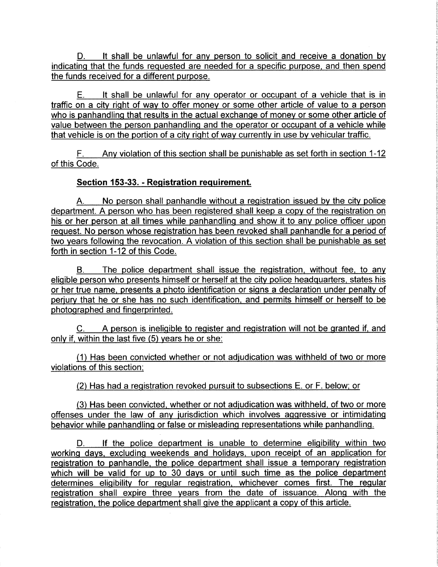D. It shall be unlawful for any person to solicit and receive a donation by indicating that the funds requested are needed for a specific purpose, and then spend the funds received for a different purpose.

E. It shall be unlawful for any operator or occupant of a vehicle that is in traffic on a city right of way to offer money or some other article of value to a person who is panhandling that results in the actual exchange of money or some other article of value between the person panhandling and the operator or occupant of a vehicle while that vehicle is on the portion of a city right of way currently in use by vehicular traffic.

F. Any violation of this section shall be punishable as set forth in section 1-12 of this Code.

# Section 153-33. - Registration requirement.

A. No person shall panhandle without a registration issued by the city police department. A person who has been registered shall keep a copy of the registration on his or her person at all times while panhandling and show it to any police officer upon request. No person whose registration has been revoked shall panhandle for a period of two years following the revocation. A violation of this section shall be punishable as set forth in section 1-12 of this Code.

B. The police department shall issue the registration, without fee, to any eligible person who presents himself or herself at the city police headquarters, states his or her true name, presents a photo identification or signs a declaration under penalty of perjury that he or she has no such identification, and permits himself or herself to be photographed and fingerprinted.

C. A person is ineligible to register and registration will not be granted if, and only if, within the last five  $(5)$  years he or she:

1) Has been convicted whether or not adjudication was withheld of two or more violations of this section;

2) Has had a registration revoked pursuit to subsections E. or F. below; or

3) Has been convicted, whether or not adjudication was withheld, of two or more offenses under the law of any jurisdiction which involves aggressive or intimidating behavior while panhandling or false or misleading representations while panhandling.

D. If the police department is unable to determine eligibility within two working days, excluding weekends and holidays, upon receipt of an application for registration to panhandle, the police department shall issue a temporary registration which will be valid for up to 30 days or until such time as the police department determines eligibility for regular registration, whichever comes first. The regular registration shall expire three years from the date of issuance. Along with the registration, the police department shall give the applicant <sup>a</sup> copy of this article.